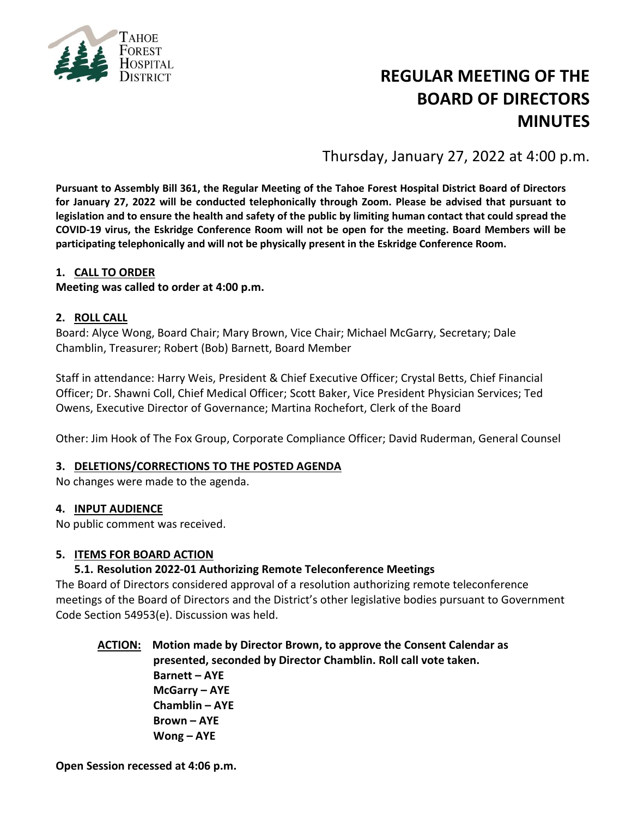

# **REGULAR MEETING OF THE BOARD OF DIRECTORS MINUTES**

Thursday, January 27, 2022 at 4:00 p.m.

**Pursuant to Assembly Bill 361, the Regular Meeting of the Tahoe Forest Hospital District Board of Directors for January 27, 2022 will be conducted telephonically through Zoom. Please be advised that pursuant to legislation and to ensure the health and safety of the public by limiting human contact that could spread the COVID-19 virus, the Eskridge Conference Room will not be open for the meeting. Board Members will be participating telephonically and will not be physically present in the Eskridge Conference Room.**

## **1. CALL TO ORDER**

**Meeting was called to order at 4:00 p.m.**

#### **2. ROLL CALL**

Board: Alyce Wong, Board Chair; Mary Brown, Vice Chair; Michael McGarry, Secretary; Dale Chamblin, Treasurer; Robert (Bob) Barnett, Board Member

Staff in attendance: Harry Weis, President & Chief Executive Officer; Crystal Betts, Chief Financial Officer; Dr. Shawni Coll, Chief Medical Officer; Scott Baker, Vice President Physician Services; Ted Owens, Executive Director of Governance; Martina Rochefort, Clerk of the Board

Other: Jim Hook of The Fox Group, Corporate Compliance Officer; David Ruderman, General Counsel

#### **3. DELETIONS/CORRECTIONS TO THE POSTED AGENDA**

No changes were made to the agenda.

#### **4. INPUT AUDIENCE**

No public comment was received.

#### **5. ITEMS FOR BOARD ACTION**

#### **5.1. Resolution 2022-01 Authorizing Remote Teleconference Meetings**

The Board of Directors considered approval of a resolution authorizing remote teleconference meetings of the Board of Directors and the District's other legislative bodies pursuant to Government Code Section 54953(e). Discussion was held.

**ACTION: Motion made by Director Brown, to approve the Consent Calendar as presented, seconded by Director Chamblin. Roll call vote taken. Barnett – AYE McGarry – AYE Chamblin – AYE Brown – AYE Wong – AYE**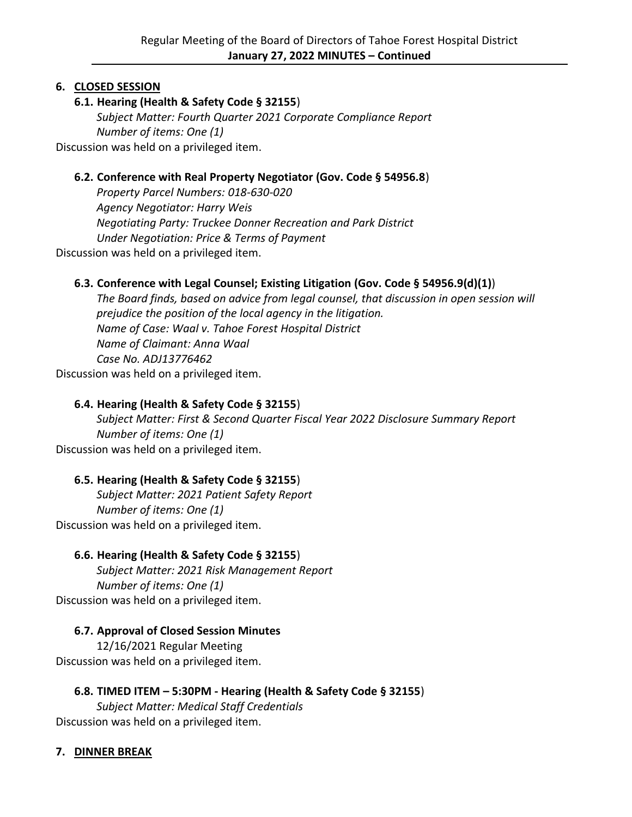# **6. CLOSED SESSION**

## **6.1. Hearing (Health & Safety Code § 32155**)

*Subject Matter: Fourth Quarter 2021 Corporate Compliance Report Number of items: One (1)* Discussion was held on a privileged item.

## **6.2. Conference with Real Property Negotiator (Gov. Code § 54956.8**)

*Property Parcel Numbers: 018-630-020 Agency Negotiator: Harry Weis Negotiating Party: Truckee Donner Recreation and Park District Under Negotiation: Price & Terms of Payment* Discussion was held on a privileged item.

## **6.3. Conference with Legal Counsel; Existing Litigation (Gov. Code § 54956.9(d)(1)**)

*The Board finds, based on advice from legal counsel, that discussion in open session will prejudice the position of the local agency in the litigation. Name of Case: Waal v. Tahoe Forest Hospital District Name of Claimant: Anna Waal Case No. ADJ13776462*

Discussion was held on a privileged item.

## **6.4. Hearing (Health & Safety Code § 32155**)

*Subject Matter: First & Second Quarter Fiscal Year 2022 Disclosure Summary Report Number of items: One (1)* Discussion was held on a privileged item.

## **6.5. Hearing (Health & Safety Code § 32155**)

*Subject Matter: 2021 Patient Safety Report Number of items: One (1)* Discussion was held on a privileged item.

## **6.6. Hearing (Health & Safety Code § 32155**)

*Subject Matter: 2021 Risk Management Report Number of items: One (1)* Discussion was held on a privileged item.

## **6.7. Approval of Closed Session Minutes**

12/16/2021 Regular Meeting Discussion was held on a privileged item.

## **6.8. TIMED ITEM – 5:30PM - Hearing (Health & Safety Code § 32155**)

*Subject Matter: Medical Staff Credentials* Discussion was held on a privileged item.

## **7. DINNER BREAK**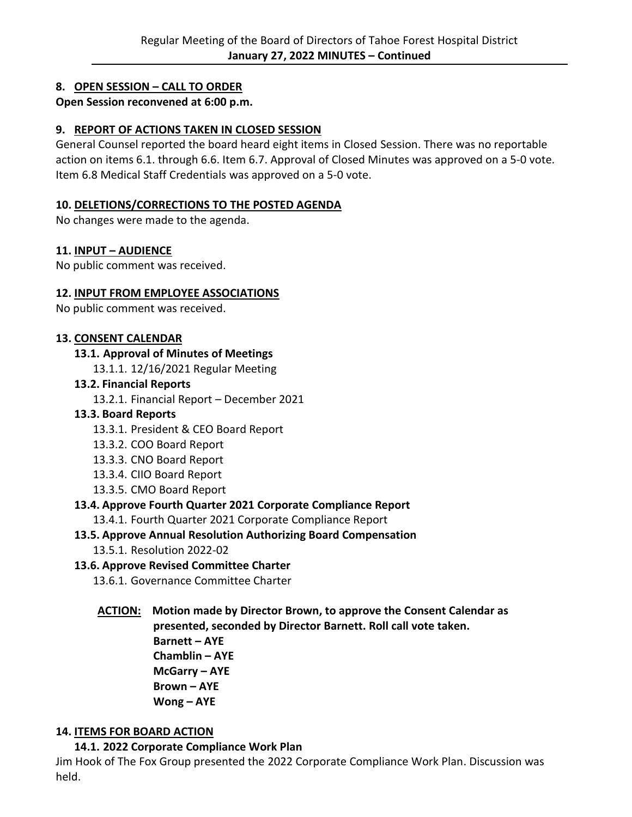# **8. OPEN SESSION – CALL TO ORDER**

## **Open Session reconvened at 6:00 p.m.**

## **9. REPORT OF ACTIONS TAKEN IN CLOSED SESSION**

General Counsel reported the board heard eight items in Closed Session. There was no reportable action on items 6.1. through 6.6. Item 6.7. Approval of Closed Minutes was approved on a 5-0 vote. Item 6.8 Medical Staff Credentials was approved on a 5-0 vote.

#### **10. DELETIONS/CORRECTIONS TO THE POSTED AGENDA**

No changes were made to the agenda.

#### **11. INPUT – AUDIENCE**

No public comment was received.

#### **12. INPUT FROM EMPLOYEE ASSOCIATIONS**

No public comment was received.

#### **13. CONSENT CALENDAR**

**13.1. Approval of Minutes of Meetings**

13.1.1. 12/16/2021 Regular Meeting

#### **13.2. Financial Reports**

13.2.1. Financial Report – December 2021

#### **13.3. Board Reports**

- 13.3.1. President & CEO Board Report
- 13.3.2. COO Board Report
- 13.3.3. CNO Board Report
- 13.3.4. CIIO Board Report
- 13.3.5. CMO Board Report

#### **13.4. Approve Fourth Quarter 2021 Corporate Compliance Report**

13.4.1. Fourth Quarter 2021 Corporate Compliance Report

#### **13.5. Approve Annual Resolution Authorizing Board Compensation**

13.5.1. Resolution 2022-02

#### **13.6. Approve Revised Committee Charter**

13.6.1. Governance Committee Charter

#### **ACTION: Motion made by Director Brown, to approve the Consent Calendar as presented, seconded by Director Barnett. Roll call vote taken. Barnett – AYE**

**Chamblin – AYE McGarry – AYE Brown – AYE Wong – AYE**

## **14. ITEMS FOR BOARD ACTION**

**14.1. 2022 Corporate Compliance Work Plan**

Jim Hook of The Fox Group presented the 2022 Corporate Compliance Work Plan. Discussion was held.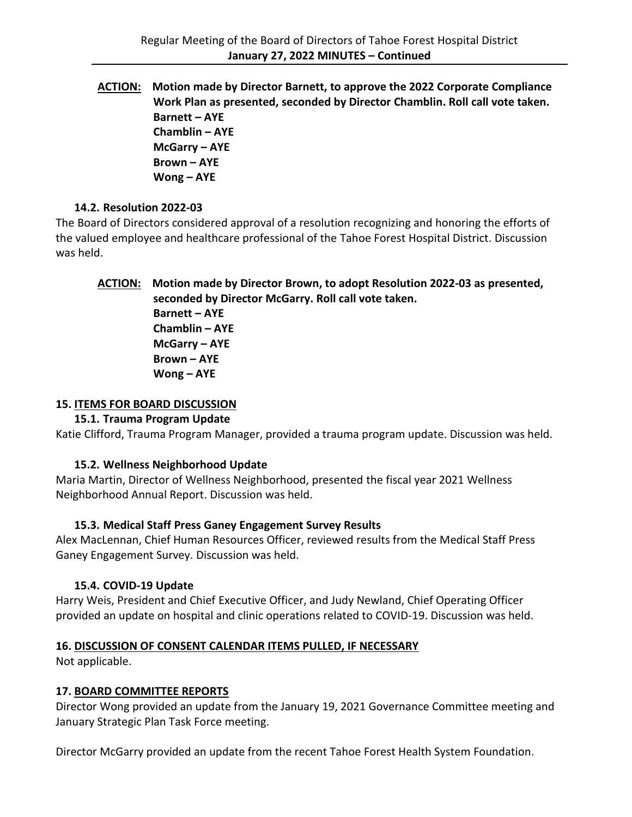**ACTION: Motion made by Director Barnett, to approve the 2022 Corporate Compliance Work Plan as presented, seconded by Director Chamblin. Roll call vote taken. Barnett – AYE Chamblin – AYE McGarry – AYE Brown – AYE Wong – AYE**

## **14.2. Resolution 2022-03**

The Board of Directors considered approval of a resolution recognizing and honoring the efforts of the valued employee and healthcare professional of the Tahoe Forest Hospital District. Discussion was held.

# **ACTION: Motion made by Director Brown, to adopt Resolution 2022-03 as presented, seconded by Director McGarry. Roll call vote taken. Barnett – AYE**

**Chamblin – AYE McGarry – AYE Brown – AYE Wong – AYE**

# **15. ITEMS FOR BOARD DISCUSSION**

# **15.1. Trauma Program Update**

Katie Clifford, Trauma Program Manager, provided a trauma program update. Discussion was held.

# **15.2. Wellness Neighborhood Update**

Maria Martin, Director of Wellness Neighborhood, presented the fiscal year 2021 Wellness Neighborhood Annual Report. Discussion was held.

# **15.3. Medical Staff Press Ganey Engagement Survey Results**

Alex MacLennan, Chief Human Resources Officer, reviewed results from the Medical Staff Press Ganey Engagement Survey. Discussion was held.

# **15.4. COVID-19 Update**

Harry Weis, President and Chief Executive Officer, and Judy Newland, Chief Operating Officer provided an update on hospital and clinic operations related to COVID-19. Discussion was held.

# **16. DISCUSSION OF CONSENT CALENDAR ITEMS PULLED, IF NECESSARY**

Not applicable.

# **17. BOARD COMMITTEE REPORTS**

Director Wong provided an update from the January 19, 2021 Governance Committee meeting and January Strategic Plan Task Force meeting.

Director McGarry provided an update from the recent Tahoe Forest Health System Foundation.